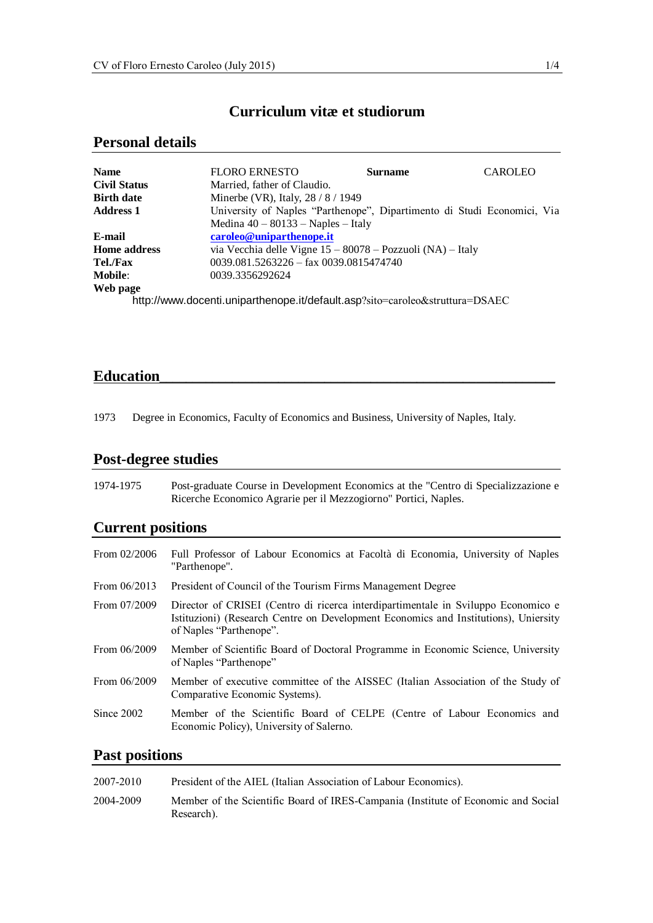# **Curriculum vitæ et studiorum**

## **Personal details**

| <b>Name</b>         | <b>FLORO ERNESTO</b>                                                         | <b>Surname</b>                                                          | <b>CAROLEO</b> |
|---------------------|------------------------------------------------------------------------------|-------------------------------------------------------------------------|----------------|
| <b>Civil Status</b> | Married, father of Claudio.                                                  |                                                                         |                |
| <b>Birth date</b>   | Minerbe (VR), Italy, 28 / 8 / 1949                                           |                                                                         |                |
| <b>Address 1</b>    |                                                                              | University of Naples "Parthenope", Dipartimento di Studi Economici, Via |                |
|                     | Medina $40 - 80133 -$ Naples - Italy                                         |                                                                         |                |
| E-mail              | caroleo@uniparthenope.it                                                     |                                                                         |                |
| <b>Home address</b> |                                                                              | via Vecchia delle Vigne $15 - 80078 - Pozzuoli (NA) - Italy$            |                |
| Tel./Fax            | $0039.081.5263226 -$ fax $0039.0815474740$                                   |                                                                         |                |
| <b>Mobile:</b>      | 0039.3356292624                                                              |                                                                         |                |
| Web page            |                                                                              |                                                                         |                |
|                     | http://www.docenti.uniparthenope.it/default.asp?sito=caroleo&struttura=DSAEC |                                                                         |                |

## **Education**\_\_\_\_\_\_\_\_\_\_\_\_\_\_\_\_\_\_\_\_\_\_\_\_\_\_\_\_\_\_\_\_\_\_\_\_\_\_\_\_\_\_\_\_\_\_\_\_\_\_\_\_\_\_\_\_\_\_\_\_

1973 Degree in Economics, Faculty of Economics and Business, University of Naples, Italy.

# **Post-degree studies**

1974-1975 Post-graduate Course in Development Economics at the "Centro di Specializzazione e Ricerche Economico Agrarie per il Mezzogiorno" Portici, Naples.

# **Current positions**

| From $02/2006$ | Full Professor of Labour Economics at Facoltà di Economia, University of Naples<br>"Parthenope".                                                                                                    |
|----------------|-----------------------------------------------------------------------------------------------------------------------------------------------------------------------------------------------------|
| From $06/2013$ | President of Council of the Tourism Firms Management Degree                                                                                                                                         |
| From 07/2009   | Director of CRISEI (Centro di ricerca interdipartimentale in Sviluppo Economico e<br>Istituzioni) (Research Centre on Development Economics and Institutions), Uniersity<br>of Naples "Parthenope". |
| From $06/2009$ | Member of Scientific Board of Doctoral Programme in Economic Science, University<br>of Naples "Parthenope"                                                                                          |
| From 06/2009   | Member of executive committee of the AISSEC (Italian Association of the Study of<br>Comparative Economic Systems).                                                                                  |
| Since 2002     | Member of the Scientific Board of CELPE (Centre of Labour Economics and<br>Economic Policy), University of Salerno.                                                                                 |

## **Past positions**

| 2007-2010 | President of the AIEL (Italian Association of Labour Economics).                                |
|-----------|-------------------------------------------------------------------------------------------------|
| 2004-2009 | Member of the Scientific Board of IRES-Campania (Institute of Economic and Social<br>Research). |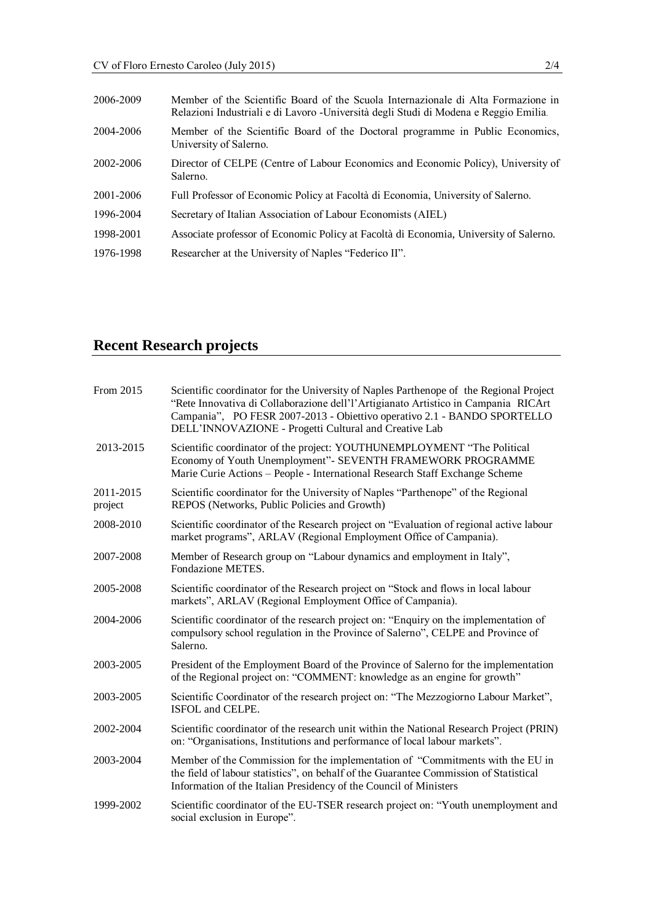| 2006-2009 | Member of the Scientific Board of the Scuola Internazionale di Alta Formazione in<br>Relazioni Industriali e di Lavoro - Università degli Studi di Modena e Reggio Emilia. |
|-----------|----------------------------------------------------------------------------------------------------------------------------------------------------------------------------|
| 2004-2006 | Member of the Scientific Board of the Doctoral programme in Public Economics,<br>University of Salerno.                                                                    |
| 2002-2006 | Director of CELPE (Centre of Labour Economics and Economic Policy), University of<br>Salerno.                                                                              |
| 2001-2006 | Full Professor of Economic Policy at Facoltà di Economia, University of Salerno.                                                                                           |
| 1996-2004 | Secretary of Italian Association of Labour Economists (AIEL)                                                                                                               |
| 1998-2001 | Associate professor of Economic Policy at Facoltà di Economia, University of Salerno.                                                                                      |
| 1976-1998 | Researcher at the University of Naples "Federico II".                                                                                                                      |

# **Recent Research projects**

| From 2015            | Scientific coordinator for the University of Naples Parthenope of the Regional Project<br>"Rete Innovativa di Collaborazione dell'l'Artigianato Artistico in Campania RICArt<br>Campania", PO FESR 2007-2013 - Obiettivo operativo 2.1 - BANDO SPORTELLO<br>DELL'INNOVAZIONE - Progetti Cultural and Creative Lab |
|----------------------|-------------------------------------------------------------------------------------------------------------------------------------------------------------------------------------------------------------------------------------------------------------------------------------------------------------------|
| 2013-2015            | Scientific coordinator of the project: YOUTHUNEMPLOYMENT "The Political<br>Economy of Youth Unemployment"- SEVENTH FRAMEWORK PROGRAMME<br>Marie Curie Actions - People - International Research Staff Exchange Scheme                                                                                             |
| 2011-2015<br>project | Scientific coordinator for the University of Naples "Parthenope" of the Regional<br>REPOS (Networks, Public Policies and Growth)                                                                                                                                                                                  |
| 2008-2010            | Scientific coordinator of the Research project on "Evaluation of regional active labour<br>market programs", ARLAV (Regional Employment Office of Campania).                                                                                                                                                      |
| 2007-2008            | Member of Research group on "Labour dynamics and employment in Italy",<br>Fondazione METES.                                                                                                                                                                                                                       |
| 2005-2008            | Scientific coordinator of the Research project on "Stock and flows in local labour<br>markets", ARLAV (Regional Employment Office of Campania).                                                                                                                                                                   |
| 2004-2006            | Scientific coordinator of the research project on: "Enquiry on the implementation of<br>compulsory school regulation in the Province of Salerno", CELPE and Province of<br>Salerno.                                                                                                                               |
| 2003-2005            | President of the Employment Board of the Province of Salerno for the implementation<br>of the Regional project on: "COMMENT: knowledge as an engine for growth"                                                                                                                                                   |
| 2003-2005            | Scientific Coordinator of the research project on: "The Mezzogiorno Labour Market",<br>ISFOL and CELPE.                                                                                                                                                                                                           |
| 2002-2004            | Scientific coordinator of the research unit within the National Research Project (PRIN)<br>on: "Organisations, Institutions and performance of local labour markets".                                                                                                                                             |
| 2003-2004            | Member of the Commission for the implementation of "Commitments with the EU in<br>the field of labour statistics", on behalf of the Guarantee Commission of Statistical<br>Information of the Italian Presidency of the Council of Ministers                                                                      |
| 1999-2002            | Scientific coordinator of the EU-TSER research project on: "Youth unemployment and<br>social exclusion in Europe".                                                                                                                                                                                                |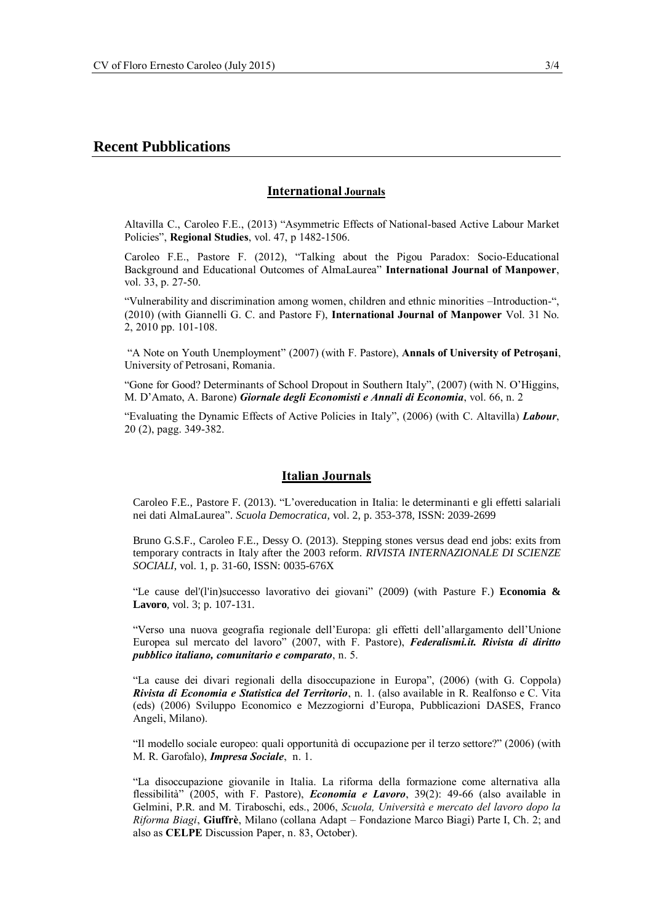## **Recent Pubblications**

### **International Journals**

Altavilla C., Caroleo F.E., (2013) "Asymmetric Effects of National-based Active Labour Market Policies", **Regional Studies**, vol. 47, p 1482-1506.

Caroleo F.E., Pastore F. (2012), "Talking about the Pigou Paradox: Socio-Educational Background and Educational Outcomes of AlmaLaurea" **International Journal of Manpower**, vol. 33, p. 27-50.

"Vulnerability and discrimination among women, children and ethnic minorities –Introduction-", (2010) (with Giannelli G. C. and Pastore F), **International Journal of Manpower** Vol. 31 No. 2, 2010 pp. 101-108.

"A Note on Youth Unemployment" (2007) (with F. Pastore), **Annals [of University of Petroşani](http://ideas.repec.org/s/pet/annals.html)**, University of Petrosani, Romania.

"Gone for Good? Determinants of School Dropout in Southern Italy", (2007) (with N. O'Higgins, M. D'Amato, A. Barone) *Giornale degli Economisti e Annali di Economia*, vol. 66, n. 2

"[Evaluating the Dynamic Effects of Active Policies in Italy](http://www.celpe.unisa.it/DP/dp84.pdf)", (2006) (with C. Altavilla) *Labour*, 20 (2), pagg. 349-382.

#### **Italian Journals**

Caroleo F.E., Pastore F. (2013). "L'overeducation in Italia: le determinanti e gli effetti salariali nei dati AlmaLaurea". *Scuola Democratica*, vol. 2, p. 353-378, ISSN: 2039-2699

Bruno G.S.F., Caroleo F.E., Dessy O. (2013). Stepping stones versus dead end jobs: exits from temporary contracts in Italy after the 2003 reform*. RIVISTA INTERNAZIONALE DI SCIENZE SOCIALI*, vol. 1, p. 31-60, ISSN: 0035-676X

"Le cause del'(l'in)successo lavorativo dei giovani" (2009) (with Pasture F.) **Economia & Lavoro**, vol. 3; p. 107-131.

"Verso una nuova geografia regionale dell'Europa: gli effetti dell'allargamento dell'Unione Europea sul mercato del lavoro" (2007, with F. Pastore), *Federalismi.it. Rivista di diritto pubblico italiano, comunitario e comparato*, n. 5.

"La cause dei divari regionali della disoccupazione in Europa", (2006) (with G. Coppola) *Rivista di Economia e Statistica del Territorio*, n. 1. (also available in R. Realfonso e C. Vita (eds) (2006) Sviluppo Economico e Mezzogiorni d'Europa, Pubblicazioni DASES, Franco Angeli, Milano).

"Il modello sociale europeo: quali opportunità di occupazione per il terzo settore?" (2006) (with M. R. Garofalo), *Impresa Sociale*, n. 1.

"La disoccupazione giovanile in Italia. La riforma della formazione come alternativa alla flessibilità" (2005, with F. Pastore), *Economia e Lavoro*, 39(2): 49-66 (also available in Gelmini, P.R. and M. Tiraboschi, eds., 2006, *Scuola, Università e mercato del lavoro dopo la Riforma Biagi*, **Giuffrè**, Milano (collana Adapt – Fondazione Marco Biagi) Parte I, Ch. 2; and also as **CELPE** Discussion Paper, n. 83, October).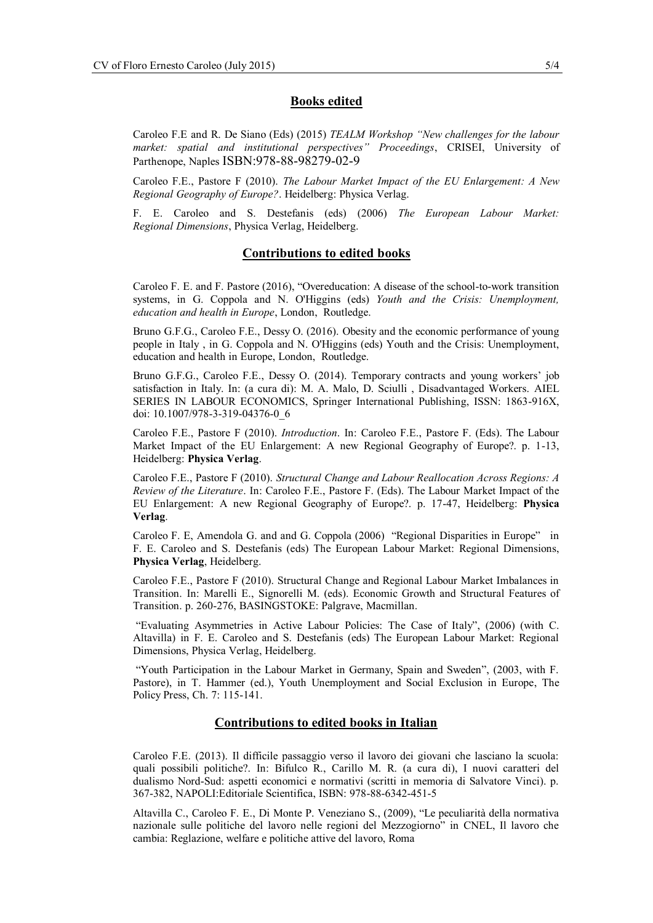#### **Books edited**

Caroleo F.E and R. De Siano (Eds) (2015) *TEALM Workshop "New challenges for the labour market: spatial and institutional perspectives" Proceedings*, CRISEI, University of Parthenope, Naples ISBN:978-88-98279-02-9

Caroleo F.E., Pastore F (2010). *The Labour Market Impact of the EU Enlargement: A New Regional Geography of Europe?*. Heidelberg: Physica Verlag.

F. E. Caroleo and S. Destefanis (eds) (2006) *The European Labour Market: Regional Dimensions*, Physica Verlag, Heidelberg.

#### **Contributions to edited books**

Caroleo F. E. and F. Pastore (2016), "Overeducation: A disease of the school-to-work transition systems, in G. Coppola and [N. O'Higgins](http://www.tandf.net/books/search/author/niall_ohiggins/) (eds) *Youth and the Crisis: Unemployment, education and health in Europe*, London, Routledge.

Bruno G.F.G., Caroleo F.E., Dessy O. (2016). Obesity and the economic performance of young people in Italy , in G. Coppola and [N. O'Higgins](http://www.tandf.net/books/search/author/niall_ohiggins/) (eds) Youth and the Crisis: Unemployment, education and health in Europe, London, Routledge.

Bruno G.F.G., Caroleo F.E., Dessy O. (2014). Temporary contracts and young workers' job satisfaction in Italy. In: (a cura di): M. A. Malo, D. Sciulli , Disadvantaged Workers. AIEL SERIES IN LABOUR ECONOMICS, Springer International Publishing, ISSN: 1863-916X, doi: 10.1007/978-3-319-04376-0\_6

Caroleo F.E., Pastore F (2010). *Introduction*. In: Caroleo F.E., Pastore F. (Eds). The Labour Market Impact of the EU Enlargement: A new Regional Geography of Europe?. p. 1-13, Heidelberg: **Physica Verlag**.

Caroleo F.E., Pastore F (2010). *Structural Change and Labour Reallocation Across Regions: A Review of the Literature*. In: Caroleo F.E., Pastore F. (Eds). The Labour Market Impact of the EU Enlargement: A new Regional Geography of Europe?. p. 17-47, Heidelberg: **Physica Verlag**.

Caroleo F. E, Amendola G. and and G. Coppola (2006) "Regional Disparities in Europe" in F. E. Caroleo and S. Destefanis (eds) The European Labour Market: Regional Dimensions, **Physica Verlag**, Heidelberg.

Caroleo F.E., Pastore F (2010). Structural Change and Regional Labour Market Imbalances in Transition. In: Marelli E., Signorelli M. (eds). Economic Growth and Structural Features of Transition. p. 260-276, BASINGSTOKE: Palgrave, Macmillan.

"[Evaluating Asymmetries in Active Labour Policies: The Case of Italy](http://www.celpe.unisa.it/DP/dp84.pdf)", (2006) (with C. Altavilla) in F. E. Caroleo and S. Destefanis (eds) The European Labour Market: Regional Dimensions, Physica Verlag, Heidelberg.

"Youth Participation in the Labour Market in Germany, Spain and Sweden", (2003, with F. Pastore), in T. Hammer (ed.), Youth Unemployment and Social Exclusion in Europe, The Policy Press, Ch. 7: 115-141.

## **Contributions to edited books in Italian**

Caroleo F.E. (2013). Il difficile passaggio verso il lavoro dei giovani che lasciano la scuola: quali possibili politiche?. In: Bifulco R., Carillo M. R. (a cura di), I nuovi caratteri del dualismo Nord-Sud: aspetti economici e normativi (scritti in memoria di Salvatore Vinci). p. 367-382, NAPOLI:Editoriale Scientifica, ISBN: 978-88-6342-451-5

Altavilla C., Caroleo F. E., Di Monte P. Veneziano S., (2009), "Le peculiarità della normativa nazionale sulle politiche del lavoro nelle regioni del Mezzogiorno" in CNEL, Il lavoro che cambia: Reglazione, welfare e politiche attive del lavoro, Roma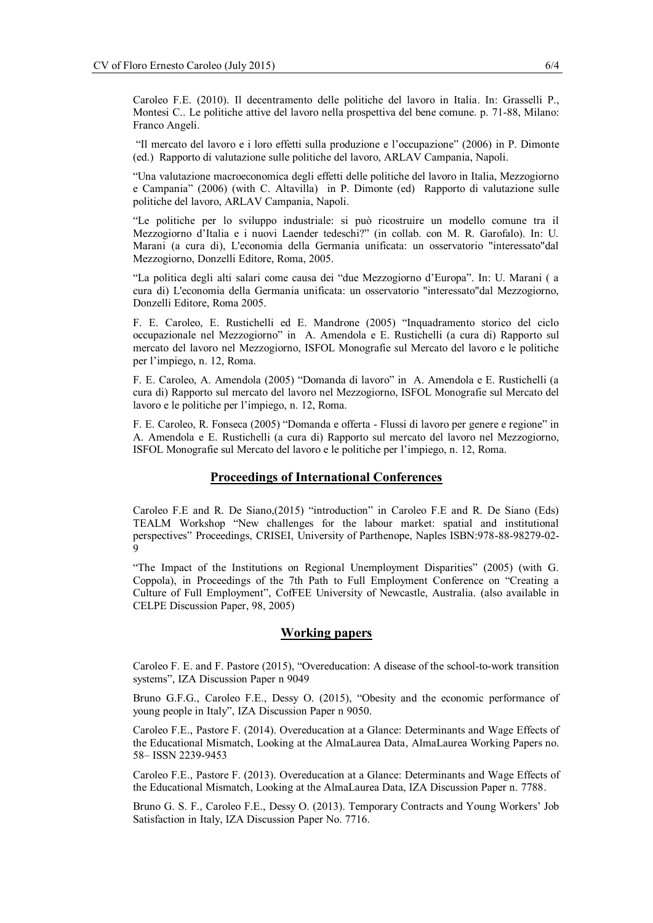Caroleo F.E. (2010). Il decentramento delle politiche del lavoro in Italia. In: Grasselli P., Montesi C.. Le politiche attive del lavoro nella prospettiva del bene comune. p. 71-88, Milano: Franco Angeli.

"Il mercato del lavoro e i loro effetti sulla produzione e l'occupazione" (2006) in P. Dimonte (ed.) Rapporto di valutazione sulle politiche del lavoro, ARLAV Campania, Napoli.

"Una valutazione macroeconomica degli effetti delle politiche del lavoro in Italia, Mezzogiorno e Campania" (2006) (with C. Altavilla) in P. Dimonte (ed) Rapporto di valutazione sulle politiche del lavoro, ARLAV Campania, Napoli.

"Le politiche per lo sviluppo industriale: si può ricostruire un modello comune tra il Mezzogiorno d'Italia e i nuovi Laender tedeschi?" (in collab. con M. R. Garofalo). In: U. Marani (a cura di), L'economia della Germania unificata: un osservatorio "interessato"dal Mezzogiorno, Donzelli Editore, Roma, 2005.

"La politica degli alti salari come causa dei "due Mezzogiorno d'Europa". In: U. Marani ( a cura di) L'economia della Germania unificata: un osservatorio "interessato"dal Mezzogiorno, Donzelli Editore, Roma 2005.

F. E. Caroleo, E. Rustichelli ed E. Mandrone (2005) "Inquadramento storico del ciclo occupazionale nel Mezzogiorno" in A. Amendola e E. Rustichelli (a cura di) Rapporto sul mercato del lavoro nel Mezzogiorno, ISFOL Monografie sul Mercato del lavoro e le politiche per l'impiego, n. 12, Roma.

F. E. Caroleo, A. Amendola (2005) "Domanda di lavoro" in A. Amendola e E. Rustichelli (a cura di) Rapporto sul mercato del lavoro nel Mezzogiorno, ISFOL Monografie sul Mercato del lavoro e le politiche per l'impiego, n. 12, Roma.

F. E. Caroleo, R. Fonseca (2005) "Domanda e offerta - Flussi di lavoro per genere e regione" in A. Amendola e E. Rustichelli (a cura di) Rapporto sul mercato del lavoro nel Mezzogiorno, ISFOL Monografie sul Mercato del lavoro e le politiche per l'impiego, n. 12, Roma.

#### **Proceedings of International Conferences**

Caroleo F.E and R. De Siano,(2015) "introduction" in Caroleo F.E and R. De Siano (Eds) TEALM Workshop "New challenges for the labour market: spatial and institutional perspectives" Proceedings, CRISEI, University of Parthenope, Naples ISBN:978-88-98279-02- 9

"The Impact of the Institutions on Regional Unemployment Disparities" (2005) (with G. Coppola), in Proceedings of the 7th Path to Full Employment Conference on "Creating a Culture of Full Employment", CofFEE University of Newcastle, Australia. (also available in CELPE Discussion Paper, 98, 2005)

#### **Working papers**

Caroleo F. E. and F. Pastore (2015), "Overeducation: A disease of the school-to-work transition systems", IZA Discussion Paper n 9049

Bruno G.F.G., Caroleo F.E., Dessy O. (2015), "Obesity and the economic performance of young people in Italy", IZA Discussion Paper n 9050.

Caroleo F.E., Pastore F. (2014). Overeducation at a Glance: Determinants and Wage Effects of the Educational Mismatch, Looking at the AlmaLaurea Data, AlmaLaurea Working Papers no. 58– ISSN 2239-9453

Caroleo F.E., Pastore F. (2013). Overeducation at a Glance: Determinants and Wage Effects of the Educational Mismatch, Looking at the AlmaLaurea Data, IZA Discussion Paper n. 7788.

Bruno G. S. F., Caroleo F.E., Dessy O. (2013). Temporary Contracts and Young Workers' Job Satisfaction in Italy, IZA Discussion Paper No. 7716.